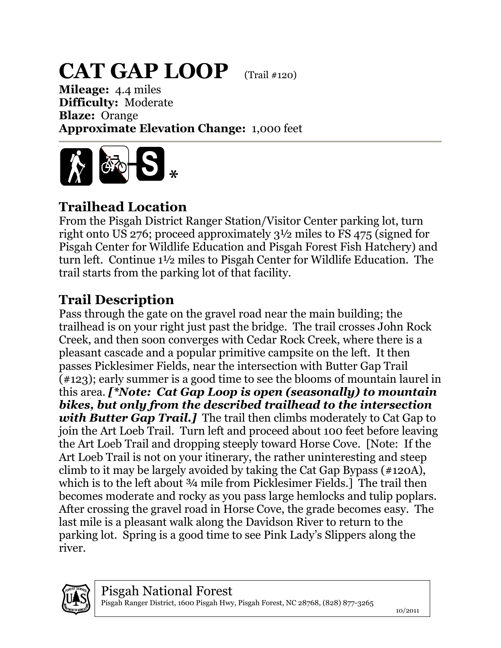## **CAT GAP LOOP** (Trail #120)

**Mileage:** 4.4 miles **Difficulty:** Moderate **Blaze:** Orange **Approximate Elevation Change:** 1,000 feet



## **Trailhead Location**

From the Pisgah District Ranger Station/Visitor Center parking lot, turn right onto US 276; proceed approximately 3½ miles to FS 475 (signed for Pisgah Center for Wildlife Education and Pisgah Forest Fish Hatchery) and turn left. Continue 1½ miles to Pisgah Center for Wildlife Education. The trail starts from the parking lot of that facility.

## **Trail Description**

Pass through the gate on the gravel road near the main building; the trailhead is on your right just past the bridge. The trail crosses John Rock Creek, and then soon converges with Cedar Rock Creek, where there is a pleasant cascade and a popular primitive campsite on the left. It then passes Picklesimer Fields, near the intersection with Butter Gap Trail (#123); early summer is a good time to see the blooms of mountain laurel in this area. *[\*Note: Cat Gap Loop is open (seasonally) to mountain bikes, but only from the described trailhead to the intersection with Butter Gap Trail.]* The trail then climbs moderately to Cat Gap to join the Art Loeb Trail. Turn left and proceed about 100 feet before leaving the Art Loeb Trail and dropping steeply toward Horse Cove. [Note: If the Art Loeb Trail is not on your itinerary, the rather uninteresting and steep climb to it may be largely avoided by taking the Cat Gap Bypass (#120A), which is to the left about 3/4 mile from Picklesimer Fields. The trail then becomes moderate and rocky as you pass large hemlocks and tulip poplars. After crossing the gravel road in Horse Cove, the grade becomes easy. The last mile is a pleasant walk along the Davidson River to return to the parking lot. Spring is a good time to see Pink Lady's Slippers along the river.